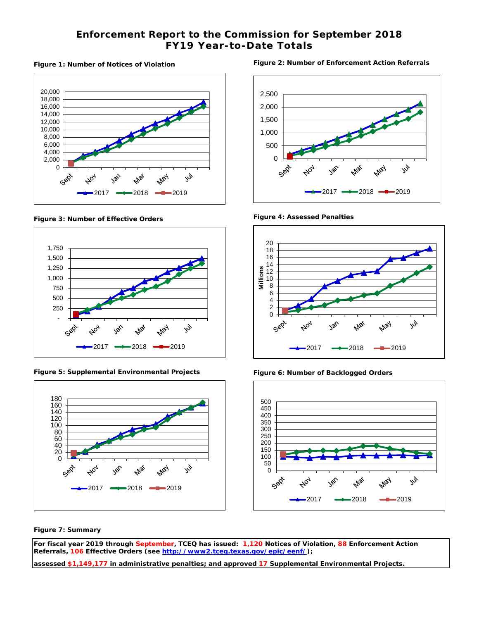### **Enforcement Report to the Commission for September 2018 FY19 Year-to-Date Totals**

#### **Figure 1: Number of Notices of Violation**



**Figure 3: Number of Effective Orders** 



**Figure 5: Supplemental Environmental Projects** 



**Figure 2: Number of Enforcement Action Referrals** 



**Figure 4: Assessed Penalties** 



**Figure 6: Number of Backlogged Orders**



**Figure 7: Summary**

**For fiscal year 2019 through September, TCEQ has issued: 1,120 Notices of Violation, 88 Enforcement Action Referrals, 106 Effective Orders (see [http://www2.tceq.texas.gov/epic/eenf/\)](http://www2.tceq.texas.gov/epic/eenf/);** 

**assessed \$1,149,177 in administrative penalties; and approved 17 Supplemental Environmental Projects.**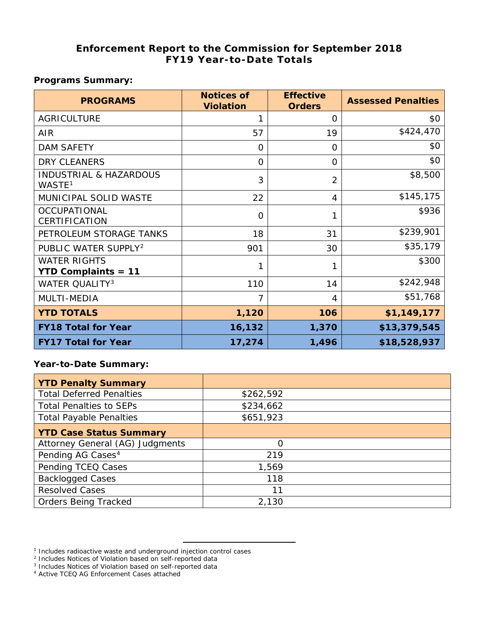### **Enforcement Report to the Commission for September 2018 FY19 Year-to-Date Totals**

### **Programs Summary:**

| <b>PROGRAMS</b>                                         | <b>Notices of</b><br><b>Violation</b> | <b>Effective</b><br><b>Orders</b> | <b>Assessed Penalties</b> |
|---------------------------------------------------------|---------------------------------------|-----------------------------------|---------------------------|
| <b>AGRICULTURE</b>                                      | 1                                     | 0                                 | \$0                       |
| <b>AIR</b>                                              | 57                                    | 19                                | \$424,470                 |
| <b>DAM SAFETY</b>                                       | $\Omega$                              | $\Omega$                          | \$0                       |
| <b>DRY CLEANERS</b>                                     | $\Omega$                              | O                                 | \$0                       |
| <b>INDUSTRIAL &amp; HAZARDOUS</b><br>WASTE <sup>1</sup> | 3                                     | $\overline{2}$                    | \$8,500                   |
| MUNICIPAL SOLID WASTE                                   | 22                                    | 4                                 | \$145,175                 |
| <b>OCCUPATIONAL</b><br>CERTIFICATION                    | $\Omega$                              | 1                                 | \$936                     |
| PETROLEUM STORAGE TANKS                                 | 18                                    | 31                                | \$239,901                 |
| PUBLIC WATER SUPPLY <sup>2</sup>                        | 901                                   | 30                                | \$35,179                  |
| <b>WATER RIGHTS</b><br><b>YTD Complaints = 11</b>       |                                       | 1                                 | \$300                     |
| <b>WATER QUALITY3</b>                                   | 110                                   | 14                                | \$242,948                 |
| MULTI-MEDIA                                             | 7                                     | 4                                 | \$51,768                  |
| <b>YTD TOTALS</b>                                       | 1,120                                 | 106                               | \$1,149,177               |
| <b>FY18 Total for Year</b>                              | 16,132                                | 1,370                             | \$13,379,545              |
| <b>FY17 Total for Year</b>                              | 17,274                                | 1,496                             | \$18,528,937              |

#### **Year-to-Date Summary:**

| <b>YTD Penalty Summary</b>      |           |  |
|---------------------------------|-----------|--|
| <b>Total Deferred Penalties</b> | \$262,592 |  |
| <b>Total Penalties to SEPs</b>  | \$234,662 |  |
| <b>Total Payable Penalties</b>  | \$651,923 |  |
| <b>YTD Case Status Summary</b>  |           |  |
| Attorney General (AG) Judgments | Ω         |  |
| Pending AG Cases <sup>4</sup>   | 219       |  |
| Pending TCEQ Cases              | 1,569     |  |
| <b>Backlogged Cases</b>         | 118       |  |
| <b>Resolved Cases</b>           | 11        |  |
| <b>Orders Being Tracked</b>     | 2,130     |  |

<span id="page-1-0"></span><sup>&</sup>lt;sup>1</sup> Includes radioactive waste and underground injection control cases

<span id="page-1-2"></span><span id="page-1-1"></span><sup>&</sup>lt;sup>2</sup> Includes Notices of Violation based on self-reported data

<sup>&</sup>lt;sup>3</sup> Includes Notices of Violation based on self-reported data

<span id="page-1-3"></span><sup>4</sup> Active TCEQ AG Enforcement Cases attached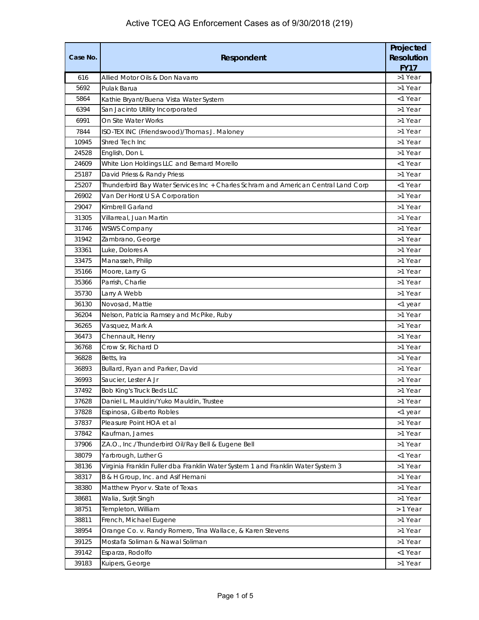| Case No. | Respondent                                                                         | Projected<br><b>Resolution</b><br><b>FY17</b> |
|----------|------------------------------------------------------------------------------------|-----------------------------------------------|
| 616      | Allied Motor Oils & Don Navarro                                                    | >1 Year                                       |
| 5692     | Pulak Barua                                                                        | >1 Year                                       |
| 5864     | Kathie Bryant/Buena Vista Water System                                             | <1 Year                                       |
| 6394     | San Jacinto Utility Incorporated                                                   | >1 Year                                       |
| 6991     | On Site Water Works                                                                | >1 Year                                       |
| 7844     | ISO-TEX INC (Friendswood)/Thomas J. Maloney                                        | >1 Year                                       |
| 10945    | Shred Tech Inc                                                                     | >1 Year                                       |
| 24528    | English, Don L                                                                     | >1 Year                                       |
| 24609    | White Lion Holdings LLC and Bernard Morello                                        | <1 Year                                       |
| 25187    | David Priess & Randy Priess                                                        | >1 Year                                       |
| 25207    | Thunderbird Bay Water Services Inc + Charles Schram and American Central Land Corp | <1 Year                                       |
| 26902    | Van Der Horst U S A Corporation                                                    | >1 Year                                       |
| 29047    | Kimbrell Garland                                                                   | >1 Year                                       |
| 31305    | Villarreal, Juan Martin                                                            | >1 Year                                       |
| 31746    | <b>WSWS Company</b>                                                                | >1 Year                                       |
| 31942    | Zambrano, George                                                                   | >1 Year                                       |
| 33361    | Luke, Dolores A                                                                    | >1 Year                                       |
| 33475    | Manasseh, Philip                                                                   | >1 Year                                       |
| 35166    | Moore, Larry G                                                                     | >1 Year                                       |
| 35366    | Parrish, Charlie                                                                   | >1 Year                                       |
| 35730    | Larry A Webb                                                                       | >1 Year                                       |
| 36130    | Novosad, Mattie                                                                    | <1 year                                       |
| 36204    | Nelson, Patricia Ramsey and McPike, Ruby                                           | >1 Year                                       |
| 36265    | Vasquez, Mark A                                                                    | >1 Year                                       |
| 36473    | Chennault, Henry                                                                   | >1 Year                                       |
| 36768    | Crow Sr, Richard D                                                                 | >1 Year                                       |
| 36828    | Betts, Ira                                                                         | >1 Year                                       |
| 36893    | Bullard, Ryan and Parker, David                                                    | >1 Year                                       |
| 36993    | Saucier, Lester A Jr                                                               | >1 Year                                       |
| 37492    | <b>Bob King's Truck Beds LLC</b>                                                   | >1 Year                                       |
| 37628    | Daniel L. Mauldin/Yuko Mauldin, Trustee                                            | >1 Year                                       |
| 37828    | Espinosa, Gilberto Robles                                                          | <1 year                                       |
| 37837    | Pleasure Point HOA et al                                                           | >1 Year                                       |
| 37842    | Kaufman, James                                                                     | >1 Year                                       |
| 37906    | Z.A.O., Inc./Thunderbird Oil/Ray Bell & Eugene Bell                                | >1 Year                                       |
| 38079    | Yarbrough, Luther G                                                                | <1 Year                                       |
| 38136    | Virginia Franklin Fuller dba Franklin Water System 1 and Franklin Water System 3   | >1 Year                                       |
| 38317    | B & H Group, Inc. and Asif Hemani                                                  | >1 Year                                       |
| 38380    | Matthew Pryor v. State of Texas                                                    | >1 Year                                       |
| 38681    | Walia, Surjit Singh                                                                | >1 Year                                       |
| 38751    | Templeton, William                                                                 | > 1 Year                                      |
| 38811    | French, Michael Eugene                                                             | >1 Year                                       |
| 38954    | Orange Co. v. Randy Romero, Tina Wallace, & Karen Stevens                          | >1 Year                                       |
| 39125    | Mostafa Soliman & Nawal Soliman                                                    | >1 Year                                       |
| 39142    | Esparza, Rodolfo                                                                   | <1 Year                                       |
| 39183    | Kuipers, George                                                                    | >1 Year                                       |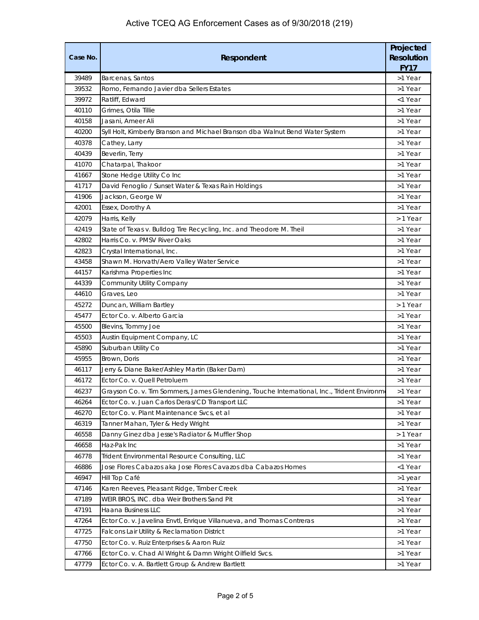| Case No.       | Respondent                                                                                                      |                    |  |  |
|----------------|-----------------------------------------------------------------------------------------------------------------|--------------------|--|--|
| 39489          | Barcenas, Santos                                                                                                | >1 Year            |  |  |
| 39532          | Romo, Fernando Javier dba Sellers Estates                                                                       | >1 Year            |  |  |
| 39972          | Ratliff, Edward                                                                                                 | <1 Year            |  |  |
| 40110          | Grimes, Otila Tillie                                                                                            | >1 Year            |  |  |
| 40158          | Jasani, Ameer Ali                                                                                               | >1 Year            |  |  |
| 40200          | Syll Holt, Kimberly Branson and Michael Branson dba Walnut Bend Water System                                    | >1 Year            |  |  |
| 40378          | Cathey, Larry                                                                                                   | >1 Year            |  |  |
| 40439          | Beverlin, Terry                                                                                                 | >1 Year            |  |  |
| 41070          | Chatarpal, Thakoor                                                                                              | >1 Year            |  |  |
| 41667          | Stone Hedge Utility Co Inc                                                                                      | >1 Year            |  |  |
| 41717          | David Fenoglio / Sunset Water & Texas Rain Holdings                                                             | >1 Year            |  |  |
| 41906          | Jackson, George W                                                                                               | >1 Year            |  |  |
| 42001          | Essex, Dorothy A                                                                                                | >1 Year            |  |  |
| 42079          | Harris, Kelly                                                                                                   | > 1 Year           |  |  |
| 42419          | State of Texas v. Bulldog Tire Recycling, Inc. and Theodore M. Theil                                            | >1 Year            |  |  |
| 42802          | Harris Co. v. PMSV River Oaks                                                                                   | >1 Year            |  |  |
| 42823          | Crystal International, Inc.                                                                                     | >1 Year            |  |  |
| 43458          | Shawn M. Horvath/Aero Valley Water Service                                                                      | >1 Year            |  |  |
| 44157          | Karishma Properties Inc                                                                                         | >1 Year            |  |  |
| 44339          | Community Utility Company                                                                                       | >1 Year            |  |  |
| 44610          | Graves, Leo                                                                                                     | >1 Year            |  |  |
| 45272          | Duncan, William Bartley                                                                                         | > 1 Year           |  |  |
| 45477          | Ector Co. v. Alberto Garcia                                                                                     | >1 Year            |  |  |
| 45500          | Blevins, Tommy Joe                                                                                              | >1 Year            |  |  |
| 45503          | Austin Equipment Company, LC                                                                                    | >1 Year            |  |  |
| 45890          | Suburban Utility Co                                                                                             | >1 Year            |  |  |
| 45955          | Brown, Doris                                                                                                    | >1 Year            |  |  |
| 46117          | Jerry & Diane Baker/Ashley Martin (Baker Dam)                                                                   | >1 Year            |  |  |
| 46172          | Ector Co. v. Quell Petroluem                                                                                    | >1 Year            |  |  |
| 46237          | Grayson Co. v. Tim Sommers, James Glendening, Touche International, Inc., Trident Environme                     | >1 Year            |  |  |
| 46264          | Ector Co. v. Juan Carlos Deras/CD Transport LLC                                                                 | >1 Year            |  |  |
| 46270          | Ector Co. v. Plant Maintenance Svcs, et al                                                                      | >1 Year            |  |  |
| 46319          | Tanner Mahan, Tyler & Hedy Wright                                                                               | >1 Year            |  |  |
| 46558          | Danny Ginez dba Jesse's Radiator & Muffler Shop                                                                 | > 1 Year           |  |  |
| 46658          | Haz-Pak Inc                                                                                                     | >1 Year            |  |  |
| 46778<br>46886 | Trident Environmental Resource Consulting, LLC<br>Jose Flores Cabazos aka Jose Flores Cavazos dba Cabazos Homes | >1 Year<br><1 Year |  |  |
| 46947          | Hill Top Café                                                                                                   |                    |  |  |
| 47146          |                                                                                                                 | >1 year<br>>1 Year |  |  |
| 47189          | Karen Reeves, Pleasant Ridge, Timber Creek                                                                      | >1 Year            |  |  |
| 47191          | WEIR BROS, INC. dba Weir Brothers Sand Pit<br>Haana Business LLC                                                | >1 Year            |  |  |
| 47264          | Ector Co. v. Javelina Envtl, Enrique Villanueva, and Thomas Contreras                                           | >1 Year            |  |  |
| 47725          | Falcons Lair Utility & Reclamation District                                                                     | >1 Year            |  |  |
| 47750          | Ector Co. v. Ruiz Enterprises & Aaron Ruiz                                                                      | >1 Year            |  |  |
| 47766          | Ector Co. v. Chad Al Wright & Damn Wright Oilfield Svcs.                                                        | >1 Year            |  |  |
| 47779          |                                                                                                                 |                    |  |  |
|                | Ector Co. v. A. Bartlett Group & Andrew Bartlett                                                                | >1 Year            |  |  |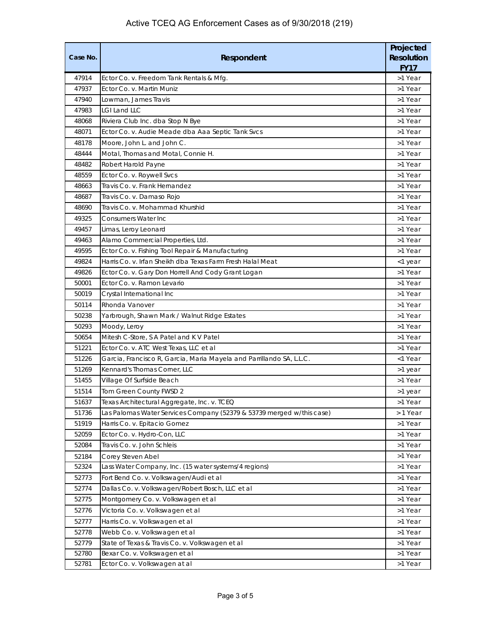| Case No. | Respondent                                                            | Projected<br><b>Resolution</b><br><b>FY17</b> |
|----------|-----------------------------------------------------------------------|-----------------------------------------------|
| 47914    | Ector Co. v. Freedom Tank Rentals & Mfg.                              | >1 Year                                       |
| 47937    | Ector Co. v. Martin Muniz                                             | >1 Year                                       |
| 47940    | Lowman, James Travis                                                  | >1 Year                                       |
| 47983    | <b>LGI Land LLC</b>                                                   | >1 Year                                       |
| 48068    | Riviera Club Inc. dba Stop N Bye                                      | >1 Year                                       |
| 48071    | Ector Co. v. Audie Meade dba Aaa Septic Tank Svcs                     | >1 Year                                       |
| 48178    | Moore, John L. and John C.                                            | >1 Year                                       |
| 48444    | Motal, Thomas and Motal, Connie H.                                    | >1 Year                                       |
| 48482    | Robert Harold Payne                                                   | >1 Year                                       |
| 48559    | Ector Co. v. Roywell Svcs                                             | >1 Year                                       |
| 48663    | Travis Co. v. Frank Hernandez                                         | >1 Year                                       |
| 48687    | Travis Co. v. Damaso Rojo                                             | >1 Year                                       |
| 48690    | Travis Co. v. Mohammad Khurshid                                       | >1 Year                                       |
| 49325    | Consumers Water Inc.                                                  | >1 Year                                       |
| 49457    | Limas, Leroy Leonard                                                  | >1 Year                                       |
| 49463    | Alamo Commercial Properties, Ltd.                                     | >1 Year                                       |
| 49595    | Ector Co. v. Fishing Tool Repair & Manufacturing                      | >1 Year                                       |
| 49824    | Harris Co. v. Irfan Sheikh dba Texas Farm Fresh Halal Meat            | <1 year                                       |
| 49826    | Ector Co. v. Gary Don Horrell And Cody Grant Logan                    | >1 Year                                       |
| 50001    | Ector Co. v. Ramon Levario                                            | >1 Year                                       |
| 50019    | Crystal International Inc                                             | >1 Year                                       |
| 50114    | Rhonda Vanover                                                        | >1 Year                                       |
| 50238    | Yarbrough, Shawn Mark / Walnut Ridge Estates                          | >1 Year                                       |
| 50293    | Moody, Leroy                                                          | >1 Year                                       |
| 50654    | Mitesh C-Store, S A Patel and K V Patel                               | >1 Year                                       |
| 51221    | Ector Co. v. ATC West Texas, LLC et al                                | >1 Year                                       |
| 51226    | Garcia, Francisco R, Garcia, Maria Mayela and Parrillando SA, L.L.C.  | <1 Year                                       |
| 51269    | Kennard's Thomas Corner, LLC                                          | >1 year                                       |
| 51455    | Village Of Surfside Beach                                             | >1 Year                                       |
| 51514    | Tom Green County FWSD 2                                               | >1 year                                       |
| 51637    | Texas Architectural Aggregate, Inc. v. TCEQ                           | >1 Year                                       |
| 51736    | Las Palomas Water Services Company (52379 & 53739 merged w/this case) | > 1 Year                                      |
| 51919    | Harris Co. v. Epitacio Gomez                                          | >1 Year                                       |
| 52059    | Ector Co. v. Hydro-Con, LLC                                           | >1 Year                                       |
| 52084    | Travis Co. v. John Schleis                                            | >1 Year                                       |
| 52184    | Corey Steven Abel                                                     | >1 Year                                       |
| 52324    | Lass Water Company, Inc. (15 water systems/4 regions)                 | >1 Year                                       |
| 52773    | Fort Bend Co. v. Volkswagen/Audi et al                                | >1 Year                                       |
| 52774    | Dallas Co. v. Volkswagen/Robert Bosch, LLC et al                      | >1 Year                                       |
| 52775    | Montgomery Co. v. Volkswagen et al                                    | >1 Year                                       |
| 52776    | Victoria Co. v. Volkswagen et al                                      | >1 Year                                       |
| 52777    | Harris Co. v. Volkswagen et al                                        | >1 Year                                       |
| 52778    | Webb Co. v. Volkswagen et al                                          | >1 Year                                       |
| 52779    | State of Texas & Travis Co. v. Volkswagen et al                       | >1 Year                                       |
| 52780    | Bexar Co. v. Volkswagen et al                                         | >1 Year                                       |
| 52781    | Ector Co. v. Volkswagen at al                                         | >1 Year                                       |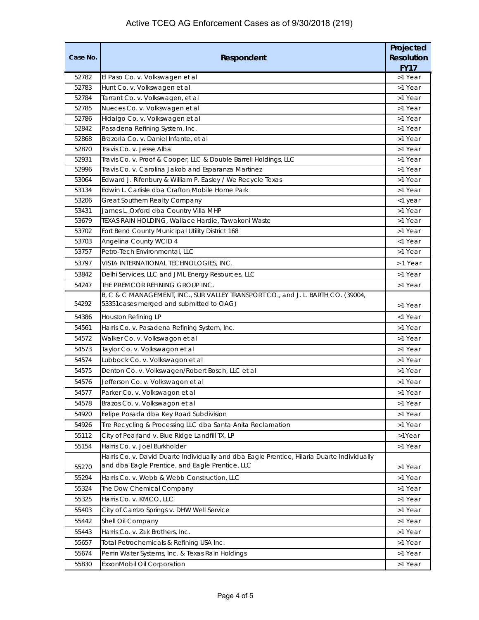| Case No. | Respondent                                                                                                                                     | Projected<br><b>Resolution</b><br><b>FY17</b> |
|----------|------------------------------------------------------------------------------------------------------------------------------------------------|-----------------------------------------------|
| 52782    | El Paso Co. v. Volkswagen et al                                                                                                                | >1 Year                                       |
| 52783    | Hunt Co. v. Volkswagen et al                                                                                                                   | >1 Year                                       |
| 52784    | Tarrant Co. v. Volkswagen, et al                                                                                                               | >1 Year                                       |
| 52785    | Nueces Co. v. Volkswagen et al                                                                                                                 | >1 Year                                       |
| 52786    | Hidalgo Co. v. Volkswagen et al                                                                                                                | >1 Year                                       |
| 52842    | Pasadena Refining System, Inc.                                                                                                                 | >1 Year                                       |
| 52868    | Brazoria Co. v. Daniel Infante, et al                                                                                                          | >1 Year                                       |
| 52870    | Travis Co. v. Jesse Alba                                                                                                                       | >1 Year                                       |
| 52931    | Travis Co. v. Proof & Cooper, LLC & Double Barrell Holdings, LLC                                                                               | >1 Year                                       |
| 52996    | Travis Co. v. Carolina Jakob and Esparanza Martinez                                                                                            | >1 Year                                       |
| 53064    | Edward J. Rifenbury & William P. Easley / We Recycle Texas                                                                                     | >1 Year                                       |
| 53134    | Edwin L. Carlisle dba Crafton Mobile Home Park                                                                                                 | >1 Year                                       |
| 53206    | Great Southern Realty Company                                                                                                                  | <1 year                                       |
| 53431    | James L. Oxford dba Country Villa MHP                                                                                                          | >1 Year                                       |
| 53679    | TEXAS RAIN HOLDING, Wallace Hardie, Tawakoni Waste                                                                                             | >1 Year                                       |
| 53702    | Fort Bend County Municipal Utility District 168                                                                                                | >1 Year                                       |
| 53703    | Angelina County WCID 4<br>Petro-Tech Environmental, LLC                                                                                        | <1 Year<br>>1 Year                            |
| 53757    |                                                                                                                                                |                                               |
| 53797    | VISTA INTERNATIONAL TECHNOLOGIES, INC.                                                                                                         | > 1 Year                                      |
| 53842    | Delhi Services, LLC and JML Energy Resources, LLC                                                                                              | >1 Year                                       |
| 54247    | THE PREMCOR REFINING GROUP INC.                                                                                                                | >1 Year                                       |
| 54292    | B, C & C MANAGEMENT, INC., SUR VALLEY TRANSPORT CO., and J. L. BARTH CO. (39004,<br>53351 cases merged and submitted to OAG)                   | >1 Year                                       |
| 54386    | Houston Refining LP                                                                                                                            | <1 Year                                       |
| 54561    | Harris Co. v. Pasadena Refining System, Inc.                                                                                                   | >1 Year                                       |
| 54572    | Walker Co. v. Volkswagon et al                                                                                                                 | >1 Year                                       |
| 54573    | Taylor Co. v. Volkswagon et al                                                                                                                 | >1 Year                                       |
| 54574    | Lubbock Co. v. Volkswagon et al                                                                                                                | >1 Year                                       |
| 54575    | Denton Co. v. Volkswagen/Robert Bosch, LLC et al                                                                                               | >1 Year                                       |
| 54576    | Jefferson Co. v. Volkswagon et al                                                                                                              | >1 Year                                       |
| 54577    | Parker Co. v. Volkswagon et al                                                                                                                 | >1 Year                                       |
| 54578    | Brazos Co. v. Volkswagon et al                                                                                                                 | >1 Year                                       |
| 54920    | Felipe Posada dba Key Road Subdivision                                                                                                         | >1 Year                                       |
| 54926    | Tire Recycling & Processing LLC dba Santa Anita Reclamation                                                                                    | >1 Year                                       |
| 55112    | City of Pearland v. Blue Ridge Landfill TX, LP                                                                                                 | >1Year                                        |
| 55154    | Harris Co. v. Joel Burkholder                                                                                                                  | >1 Year                                       |
| 55270    | Harris Co. v. David Duarte Individually and dba Eagle Prentice, Hilaria Duarte Individually<br>and dba Eagle Prentice, and Eagle Prentice, LLC |                                               |
|          |                                                                                                                                                | >1 Year                                       |
| 55294    | Harris Co. v. Webb & Webb Construction, LLC                                                                                                    | >1 Year                                       |
| 55324    | The Dow Chemical Company                                                                                                                       | >1 Year                                       |
| 55325    | Harris Co. v. KMCO, LLC                                                                                                                        | >1 Year                                       |
| 55403    | City of Carrizo Springs v. DHW Well Service                                                                                                    | >1 Year                                       |
| 55442    | Shell Oil Company                                                                                                                              | >1 Year                                       |
| 55443    | Harris Co. v. Zak Brothers, Inc.                                                                                                               | >1 Year                                       |
| 55657    | Total Petrochemicals & Refining USA Inc.                                                                                                       | >1 Year                                       |
| 55674    | Perrin Water Systems, Inc. & Texas Rain Holdings                                                                                               | >1 Year                                       |
| 55830    | ExxonMobil Oil Corporation                                                                                                                     | >1 Year                                       |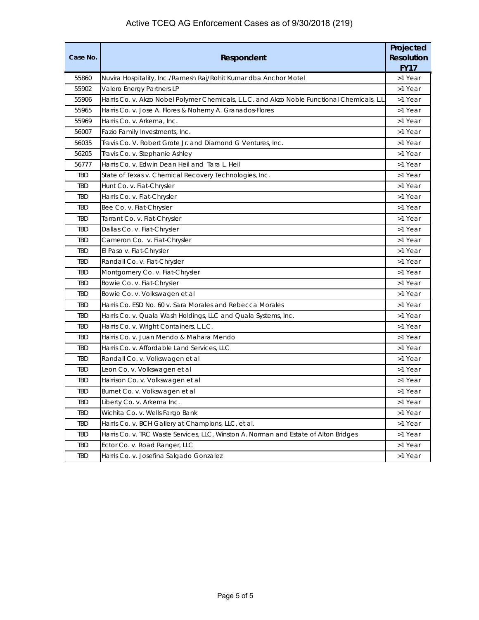| Case No.   | Respondent                                                                                  |         |  |  |
|------------|---------------------------------------------------------------------------------------------|---------|--|--|
| 55860      | Nuvira Hospitality, Inc./Ramesh Raj/Rohit Kumar dba Anchor Motel                            | >1 Year |  |  |
| 55902      | Valero Energy Partners LP                                                                   | >1 Year |  |  |
| 55906      | Harris Co. v. Akzo Nobel Polymer Chemicals, L.L.C. and Akzo Noble Functional Chemicals, L.L | >1 Year |  |  |
| 55965      | Harris Co. v. Jose A. Flores & Nohemy A. Granados-Flores                                    | >1 Year |  |  |
| 55969      | Harris Co. v. Arkema, Inc.                                                                  | >1 Year |  |  |
| 56007      | Fazio Family Investments, Inc.                                                              | >1 Year |  |  |
| 56035      | Travis Co. V. Robert Grote Jr. and Diamond G Ventures, Inc.                                 | >1 Year |  |  |
| 56205      | Travis Co. v. Stephanie Ashley                                                              | >1 Year |  |  |
| 56777      | Harris Co. v. Edwin Dean Heil and Tara L. Heil                                              | >1 Year |  |  |
| <b>TBD</b> | State of Texas v. Chemical Recovery Technologies, Inc.                                      | >1 Year |  |  |
| TBD        | Hunt Co. v. Fiat-Chrysler                                                                   | >1 Year |  |  |
| TBD        | Harris Co. v. Fiat-Chrysler                                                                 | >1 Year |  |  |
| TBD        | Bee Co. v. Fiat-Chrysler                                                                    | >1 Year |  |  |
| TBD        | Tarrant Co. v. Fiat-Chrysler                                                                | >1 Year |  |  |
| <b>TBD</b> | Dallas Co. v. Fiat-Chrysler                                                                 | >1 Year |  |  |
| <b>TBD</b> | Cameron Co. v. Fiat-Chrysler                                                                | >1 Year |  |  |
| TBD        | El Paso v. Fiat-Chrysler                                                                    | >1 Year |  |  |
| TBD        | Randall Co. v. Fiat-Chrysler                                                                | >1 Year |  |  |
| <b>TBD</b> | Montgomery Co. v. Fiat-Chrysler                                                             | >1 Year |  |  |
| <b>TBD</b> | Bowie Co. v. Fiat-Chrysler                                                                  | >1 Year |  |  |
| TBD        | Bowie Co. v. Volkswagen et al                                                               | >1 Year |  |  |
| TBD        | Harris Co. ESD No. 60 v. Sara Morales and Rebecca Morales                                   | >1 Year |  |  |
| <b>TBD</b> | Harris Co. v. Quala Wash Holdings, LLC and Quala Systems, Inc.                              | >1 Year |  |  |
| <b>TBD</b> | Harris Co. v. Wright Containers, L.L.C.                                                     | >1 Year |  |  |
| <b>TBD</b> | Harris Co. v. Juan Mendo & Mahara Mendo                                                     | >1 Year |  |  |
| <b>TBD</b> | Harris Co. v. Affordable Land Services, LLC                                                 | >1 Year |  |  |
| TBD        | Randall Co. v. Volkswagen et al                                                             | >1 Year |  |  |
| <b>TBD</b> | Leon Co. v. Volkswagen et al                                                                | >1 Year |  |  |
| TBD        | Harrison Co. v. Volkswagen et al                                                            | >1 Year |  |  |
| TBD        | Burnet Co. v. Volkswagen et al                                                              | >1 Year |  |  |
| TBD        | Liberty Co. v. Arkema Inc.                                                                  | >1 Year |  |  |
| TBD        | Wichita Co. v. Wells Fargo Bank                                                             | >1 Year |  |  |
| TBD        | Harris Co. v. BCH Gallery at Champions, LLC, et al.                                         | >1 Year |  |  |
| TBD        | Harris Co. v. TRC Waste Services, LLC, Winston A. Norman and Estate of Alton Bridges        | >1 Year |  |  |
| TBD        | Ector Co. v. Road Ranger, LLC                                                               | >1 Year |  |  |
| TBD        | Harris Co. v. Josefina Salgado Gonzalez                                                     | >1 Year |  |  |